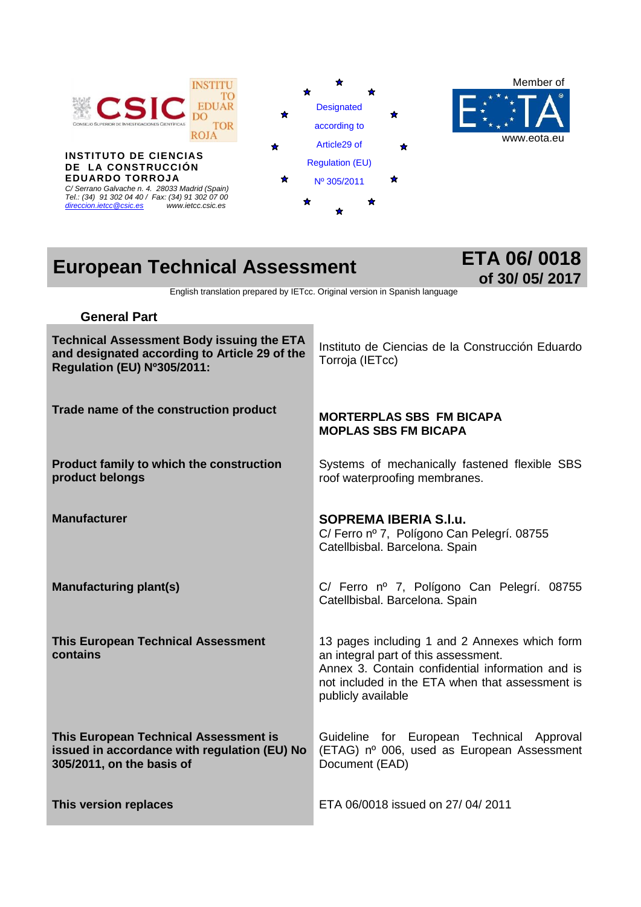

**INSTITUTO DE CIENCIAS DE LA CONSTRUCCIÓN EDUARDO TORROJA** *C/ Serrano Galvache n. 4. 28033 Madrid (Spain) Tel.: (34) 91 302 04 40 / Fax: (34) 91 302 07 00 [direccion.ietcc@csic.es](mailto:direccion.ietcc@csic.es) [www.ietcc.csic.es](http://www.ietcc.csic.es/)*





# **European Technical Assessment ETA 06/ 0018**

# **of 30/ 05/ 2017**

English translation prepared by IETcc. Original version in Spanish language

| <b>General Part</b>                                                                                                              |                                                                                                                                                                                                                    |
|----------------------------------------------------------------------------------------------------------------------------------|--------------------------------------------------------------------------------------------------------------------------------------------------------------------------------------------------------------------|
| <b>Technical Assessment Body issuing the ETA</b><br>and designated according to Article 29 of the<br>Regulation (EU) Nº305/2011: | Instituto de Ciencias de la Construcción Eduardo<br>Torroja (IETcc)                                                                                                                                                |
| Trade name of the construction product                                                                                           | <b>MORTERPLAS SBS FM BICAPA</b><br><b>MOPLAS SBS FM BICAPA</b>                                                                                                                                                     |
| Product family to which the construction<br>product belongs                                                                      | Systems of mechanically fastened flexible SBS<br>roof waterproofing membranes.                                                                                                                                     |
| <b>Manufacturer</b>                                                                                                              | <b>SOPREMA IBERIA S.I.u.</b><br>C/ Ferro nº 7, Polígono Can Pelegrí. 08755<br>Catellbisbal. Barcelona. Spain                                                                                                       |
| <b>Manufacturing plant(s)</b>                                                                                                    | C/ Ferro nº 7, Polígono Can Pelegrí. 08755<br>Catellbisbal. Barcelona. Spain                                                                                                                                       |
| <b>This European Technical Assessment</b><br>contains                                                                            | 13 pages including 1 and 2 Annexes which form<br>an integral part of this assessment.<br>Annex 3. Contain confidential information and is<br>not included in the ETA when that assessment is<br>publicly available |
| This European Technical Assessment is<br>issued in accordance with regulation (EU) No<br>305/2011, on the basis of               | Guideline for European Technical Approval<br>(ETAG) nº 006, used as European Assessment<br>Document (EAD)                                                                                                          |
| This version replaces                                                                                                            | ETA 06/0018 issued on 27/04/2011                                                                                                                                                                                   |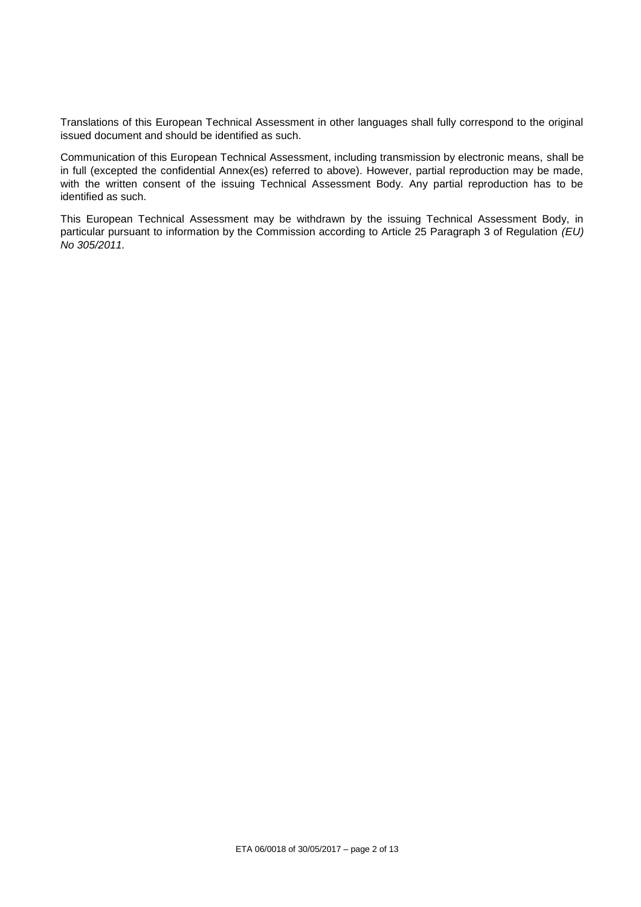Translations of this European Technical Assessment in other languages shall fully correspond to the original issued document and should be identified as such.

Communication of this European Technical Assessment, including transmission by electronic means, shall be in full (excepted the confidential Annex(es) referred to above). However, partial reproduction may be made, with the written consent of the issuing Technical Assessment Body. Any partial reproduction has to be identified as such.

This European Technical Assessment may be withdrawn by the issuing Technical Assessment Body, in particular pursuant to information by the Commission according to Article 25 Paragraph 3 of Regulation *(EU) No 305/2011.*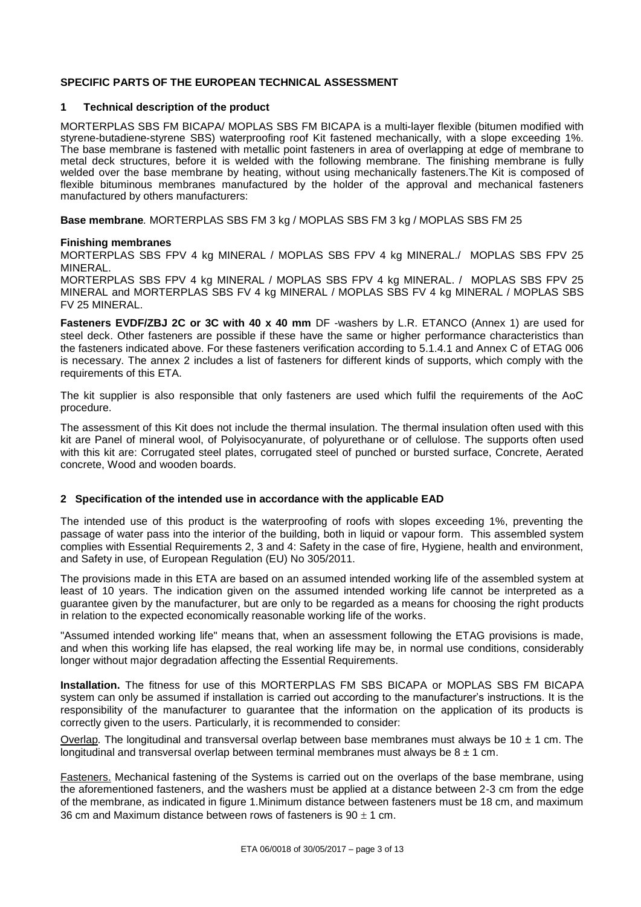#### **SPECIFIC PARTS OF THE EUROPEAN TECHNICAL ASSESSMENT**

#### **1 Technical description of the product**

MORTERPLAS SBS FM BICAPA/ MOPLAS SBS FM BICAPA is a multi-layer flexible (bitumen modified with styrene-butadiene-styrene SBS) waterproofing roof Kit fastened mechanically, with a slope exceeding 1%. The base membrane is fastened with metallic point fasteners in area of overlapping at edge of membrane to metal deck structures, before it is welded with the following membrane. The finishing membrane is fully welded over the base membrane by heating, without using mechanically fasteners. The Kit is composed of flexible bituminous membranes manufactured by the holder of the approval and mechanical fasteners manufactured by others manufacturers:

**Base membrane***.* MORTERPLAS SBS FM 3 kg / MOPLAS SBS FM 3 kg / MOPLAS SBS FM 25

#### **Finishing membranes**

MORTERPLAS SBS FPV 4 kg MINERAL / MOPLAS SBS FPV 4 kg MINERAL./ MOPLAS SBS FPV 25 MINERAL.

MORTERPLAS SBS FPV 4 kg MINERAL / MOPLAS SBS FPV 4 kg MINERAL. / MOPLAS SBS FPV 25 MINERAL and MORTERPLAS SBS FV 4 kg MINERAL / MOPLAS SBS FV 4 kg MINERAL / MOPLAS SBS FV 25 MINERAL.

**Fasteners EVDF/ZBJ 2C or 3C with 40 x 40 mm** DF -washers by L.R. ETANCO (Annex 1) are used for steel deck. Other fasteners are possible if these have the same or higher performance characteristics than the fasteners indicated above. For these fasteners verification according to 5.1.4.1 and Annex C of ETAG 006 is necessary. The annex 2 includes a list of fasteners for different kinds of supports, which comply with the requirements of this ETA.

The kit supplier is also responsible that only fasteners are used which fulfil the requirements of the AoC procedure.

The assessment of this Kit does not include the thermal insulation. The thermal insulation often used with this kit are Panel of mineral wool, of Polyisocyanurate, of polyurethane or of cellulose. The supports often used with this kit are: Corrugated steel plates, corrugated steel of punched or bursted surface, Concrete, Aerated concrete, Wood and wooden boards.

#### **2 Specification of the intended use in accordance with the applicable EAD**

The intended use of this product is the waterproofing of roofs with slopes exceeding 1%, preventing the passage of water pass into the interior of the building, both in liquid or vapour form. This assembled system complies with Essential Requirements 2, 3 and 4: Safety in the case of fire, Hygiene, health and environment, and Safety in use, of European Regulation (EU) No 305/2011.

The provisions made in this ETA are based on an assumed intended working life of the assembled system at least of 10 years. The indication given on the assumed intended working life cannot be interpreted as a guarantee given by the manufacturer, but are only to be regarded as a means for choosing the right products in relation to the expected economically reasonable working life of the works.

"Assumed intended working life" means that, when an assessment following the ETAG provisions is made, and when this working life has elapsed, the real working life may be, in normal use conditions, considerably longer without major degradation affecting the Essential Requirements.

**Installation.** The fitness for use of this MORTERPLAS FM SBS BICAPA or MOPLAS SBS FM BICAPA system can only be assumed if installation is carried out according to the manufacturer's instructions. It is the responsibility of the manufacturer to guarantee that the information on the application of its products is correctly given to the users. Particularly, it is recommended to consider:

Overlap*.* The longitudinal and transversal overlap between base membranes must always be 10 ± 1 cm. The longitudinal and transversal overlap between terminal membranes must always be  $8 \pm 1$  cm.

Fasteners. Mechanical fastening of the Systems is carried out on the overlaps of the base membrane, using the aforementioned fasteners, and the washers must be applied at a distance between 2-3 cm from the edge of the membrane, as indicated in figure 1.Minimum distance between fasteners must be 18 cm, and maximum 36 cm and Maximum distance between rows of fasteners is  $90 \pm 1$  cm.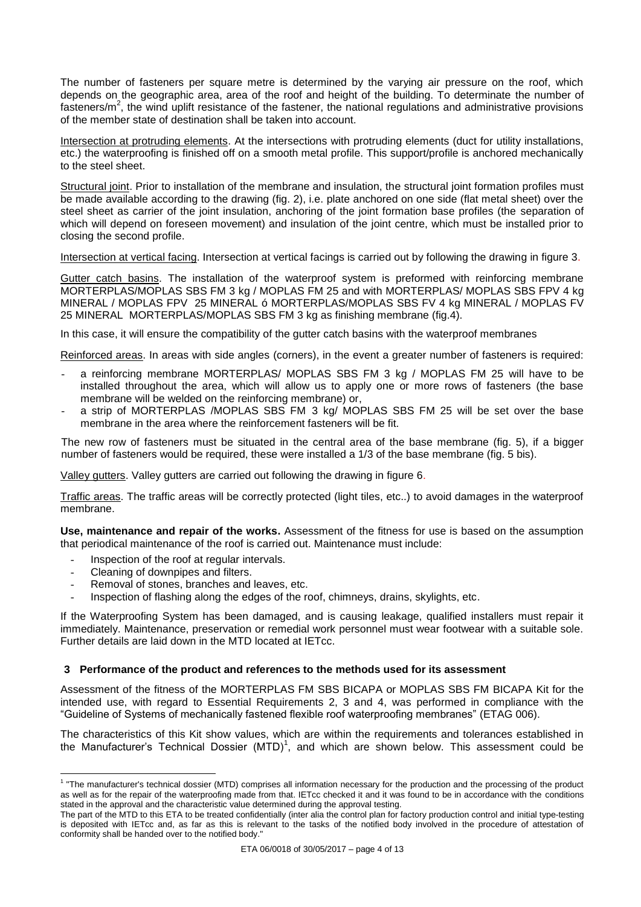The number of fasteners per square metre is determined by the varying air pressure on the roof, which depends on the geographic area, area of the roof and height of the building. To determinate the number of fasteners/ $m^2$ , the wind uplift resistance of the fastener, the national regulations and administrative provisions of the member state of destination shall be taken into account.

Intersection at protruding elements. At the intersections with protruding elements (duct for utility installations, etc.) the waterproofing is finished off on a smooth metal profile. This support/profile is anchored mechanically to the steel sheet.

Structural joint. Prior to installation of the membrane and insulation, the structural joint formation profiles must be made available according to the drawing (fig. 2), i.e. plate anchored on one side (flat metal sheet) over the steel sheet as carrier of the joint insulation, anchoring of the joint formation base profiles (the separation of which will depend on foreseen movement) and insulation of the joint centre, which must be installed prior to closing the second profile.

Intersection at vertical facing. Intersection at vertical facings is carried out by following the drawing in figure 3.

Gutter catch basins. The installation of the waterproof system is preformed with reinforcing membrane MORTERPLAS/MOPLAS SBS FM 3 kg / MOPLAS FM 25 and with MORTERPLAS/ MOPLAS SBS FPV 4 kg MINERAL / MOPLAS FPV 25 MINERAL ó MORTERPLAS/MOPLAS SBS FV 4 kg MINERAL / MOPLAS FV 25 MINERAL MORTERPLAS/MOPLAS SBS FM 3 kg as finishing membrane (fig.4).

In this case, it will ensure the compatibility of the gutter catch basins with the waterproof membranes

Reinforced areas. In areas with side angles (corners), in the event a greater number of fasteners is required:

- a reinforcing membrane MORTERPLAS/ MOPLAS SBS FM 3 kg / MOPLAS FM 25 will have to be installed throughout the area, which will allow us to apply one or more rows of fasteners (the base membrane will be welded on the reinforcing membrane) or,
- a strip of MORTERPLAS /MOPLAS SBS FM 3 kg/ MOPLAS SBS FM 25 will be set over the base membrane in the area where the reinforcement fasteners will be fit.

The new row of fasteners must be situated in the central area of the base membrane (fig. 5), if a bigger number of fasteners would be required, these were installed a 1/3 of the base membrane (fig. 5 bis).

Valley gutters. Valley gutters are carried out following the drawing in figure 6.

Traffic areas. The traffic areas will be correctly protected (light tiles, etc..) to avoid damages in the waterproof membrane.

**Use, maintenance and repair of the works.** Assessment of the fitness for use is based on the assumption that periodical maintenance of the roof is carried out. Maintenance must include:

- Inspection of the roof at regular intervals.
- Cleaning of downpipes and filters.
- Removal of stones, branches and leaves, etc.
- Inspection of flashing along the edges of the roof, chimneys, drains, skylights, etc.

If the Waterproofing System has been damaged, and is causing leakage, qualified installers must repair it immediately. Maintenance, preservation or remedial work personnel must wear footwear with a suitable sole. Further details are laid down in the MTD located at IETcc.

#### **3 Performance of the product and references to the methods used for its assessment**

Assessment of the fitness of the MORTERPLAS FM SBS BICAPA or MOPLAS SBS FM BICAPA Kit for the intended use, with regard to Essential Requirements 2, 3 and 4, was performed in compliance with the "Guideline of Systems of mechanically fastened flexible roof waterproofing membranes" (ETAG 006).

The characteristics of this Kit show values, which are within the requirements and tolerances established in the Manufacturer's Technical Dossier (MTD)<sup>1</sup>, and which are shown below. This assessment could be

 1 "The manufacturer's technical dossier (MTD) comprises all information necessary for the production and the processing of the product as well as for the repair of the waterproofing made from that. IETcc checked it and it was found to be in accordance with the conditions stated in the approval and the characteristic value determined during the approval testing.

The part of the MTD to this ETA to be treated confidentially (inter alia the control plan for factory production control and initial type-testing is deposited with IETcc and, as far as this is relevant to the tasks of the notified body involved in the procedure of attestation of conformity shall be handed over to the notified body."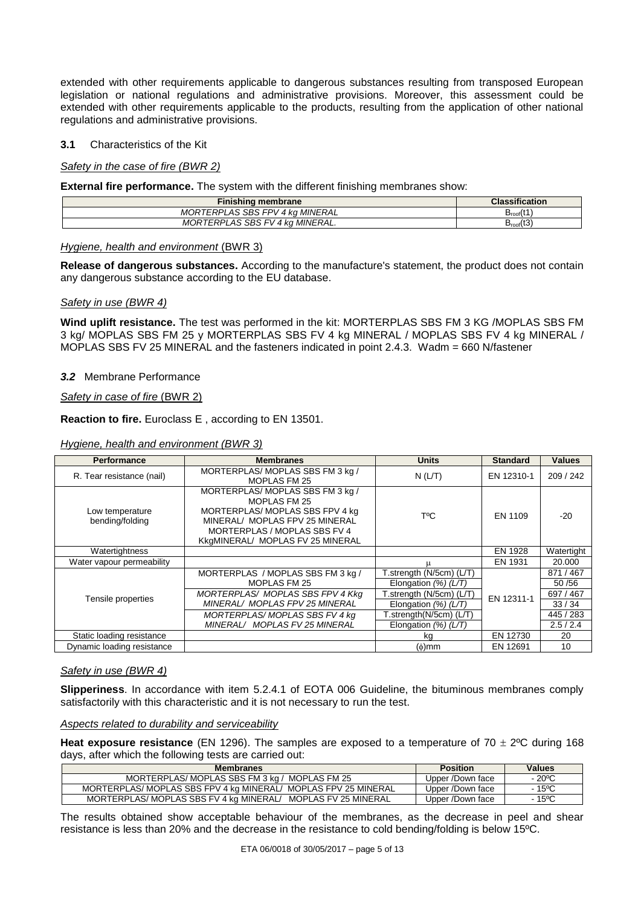extended with other requirements applicable to dangerous substances resulting from transposed European legislation or national regulations and administrative provisions. Moreover, this assessment could be extended with other requirements applicable to the products, resulting from the application of other national regulations and administrative provisions.

#### **3.1** Characteristics of the Kit

#### *Safety in the case of fire (BWR 2)*

**External fire performance.** The system with the different finishing membranes show:

| Finishing membrane              | <b>Classification</b>        |
|---------------------------------|------------------------------|
| MORTERPLAS SBS FPV 4 kg MINERAL | $1 + 4$<br>$P_{\text{root}}$ |
| MORTERPLAS SBS FV 4 kg MINERAL. | (1)<br>D <sub>roof</sub> (い) |

#### *Hygiene, health and environment* (BWR 3)

**Release of dangerous substances.** According to the manufacture's statement, the product does not contain any dangerous substance according to the EU database.

#### *Safety in use (BWR 4)*

**Wind uplift resistance.** The test was performed in the kit: MORTERPLAS SBS FM 3 KG /MOPLAS SBS FM 3 kg/ MOPLAS SBS FM 25 y MORTERPLAS SBS FV 4 kg MINERAL / MOPLAS SBS FV 4 kg MINERAL / MOPLAS SBS FV 25 MINERAL and the fasteners indicated in point 2.4.3. Wadm = 660 N/fastener

#### *3.2*Membrane Performance

*Safety in case of fire* (BWR 2)

**Reaction to fire.** Euroclass E , according to EN 13501.

#### *Hygiene, health and environment (BWR 3)*

| <b>Performance</b>                 | <b>Membranes</b>                                                                                                                                                                                | <b>Units</b>             | <b>Standard</b> | <b>Values</b> |
|------------------------------------|-------------------------------------------------------------------------------------------------------------------------------------------------------------------------------------------------|--------------------------|-----------------|---------------|
| R. Tear resistance (nail)          | MORTERPLAS/MOPLAS SBS FM 3 kg /<br>MOPLAS FM 25                                                                                                                                                 | N(L/T)                   | EN 12310-1      | 209 / 242     |
| Low temperature<br>bending/folding | MORTERPLAS/MOPLAS SBS FM 3 kg /<br><b>MOPLAS FM 25</b><br>MORTERPLAS/ MOPLAS SBS FPV 4 kg<br>MINERAL/ MOPLAS FPV 25 MINERAL<br>MORTERPLAS / MOPLAS SBS FV 4<br>KkgMINERAL/ MOPLAS FV 25 MINERAL | T°C                      | EN 1109         | -20           |
| Watertightness                     |                                                                                                                                                                                                 |                          | EN 1928         | Watertight    |
| Water vapour permeability          |                                                                                                                                                                                                 |                          | EN 1931         | 20,000        |
|                                    | MORTERPLAS / MOPLAS SBS FM 3 kg /                                                                                                                                                               | T.strength (N/5cm) (L/T) |                 | 871 / 467     |
|                                    | MOPLAS FM 25                                                                                                                                                                                    | Elongation $(%) (L/T)$   |                 | 50/56         |
| Tensile properties                 | MORTERPLAS/ MOPLAS SBS FPV 4 Kkg                                                                                                                                                                | T.strength (N/5cm) (L/T) | EN 12311-1      | 697 / 467     |
|                                    | MINERAL/ MOPLAS FPV 25 MINERAL                                                                                                                                                                  | Elongation $(%) (L/T)$   |                 | 33/34         |
|                                    | MORTERPLAS/MOPLAS SBS FV 4 kg                                                                                                                                                                   | [.strength(N/5cm) (L/T)  |                 | 445 / 283     |
|                                    | MINERAL/ MOPLAS FV 25 MINERAL                                                                                                                                                                   | Elongation $(\%) (L/T)$  |                 | 2.5/2.4       |
| Static loading resistance          |                                                                                                                                                                                                 | kq                       | EN 12730        | 20            |
| Dynamic loading resistance         |                                                                                                                                                                                                 | $(\phi)$ mm              | EN 12691        | 10            |

#### *Safety in use (BWR 4)*

**Slipperiness**. In accordance with item 5.2.4.1 of EOTA 006 Guideline, the bituminous membranes comply satisfactorily with this characteristic and it is not necessary to run the test.

#### *Aspects related to durability and serviceability*

**Heat exposure resistance** (EN 1296). The samples are exposed to a temperature of  $70 \pm 2^{\circ}$ C during 168 days, after which the following tests are carried out:

| <b>Membranes</b>                                               | <b>Position</b>  | Values          |
|----------------------------------------------------------------|------------------|-----------------|
| MORTERPLAS/MOPLAS SBS FM 3 kg / MOPLAS FM 25                   | Upper /Down face | $-20^{\circ}$ C |
| MORTERPLAS/MOPLAS SBS FPV 4 kg MINERAL/MOPLAS FPV 25 MINERAL   | Upper /Down face | - 15ºC          |
| MORTERPLAS/MOPLAS SBS FV 4 kg MINERAL/<br>MOPLAS FV 25 MINERAL | Upper /Down face | - 15°C          |

The results obtained show acceptable behaviour of the membranes, as the decrease in peel and shear resistance is less than 20% and the decrease in the resistance to cold bending/folding is below 15ºC.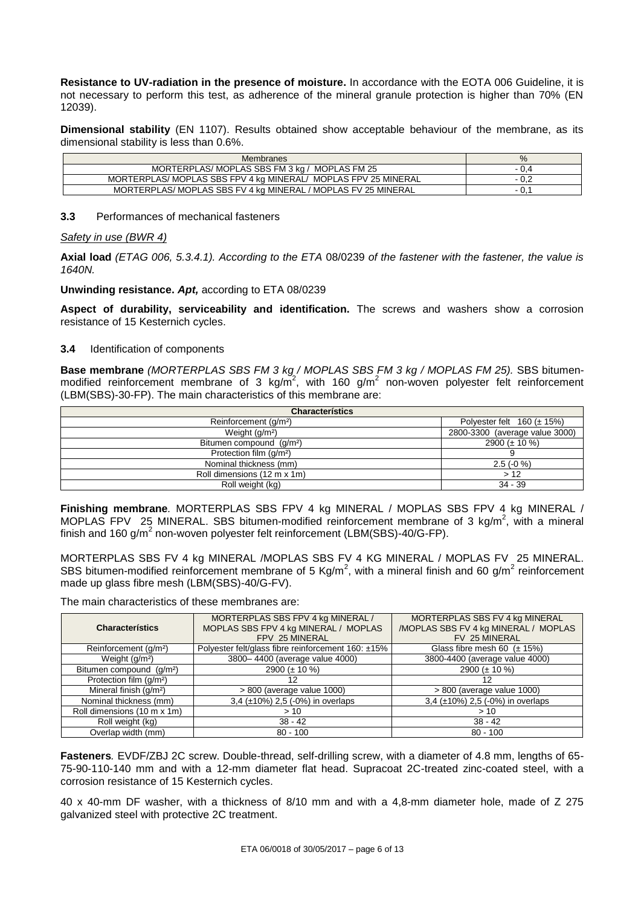**Resistance to UV-radiation in the presence of moisture.** In accordance with the EOTA 006 Guideline, it is not necessary to perform this test, as adherence of the mineral granule protection is higher than 70% (EN 12039).

**Dimensional stability** (EN 1107). Results obtained show acceptable behaviour of the membrane, as its dimensional stability is less than 0.6%.

| Membranes                                                     | $\%$ |
|---------------------------------------------------------------|------|
| MORTERPLAS/MOPLAS SBS FM 3 kg / MOPLAS FM 25                  |      |
| MORTERPLAS/MOPLAS SBS FPV 4 kg MINERAL/MOPLAS FPV 25 MINERAL  |      |
| MORTERPLAS/ MOPLAS SBS FV 4 kg MINERAL / MOPLAS FV 25 MINERAL |      |

#### **3.3** Performances of mechanical fasteners

#### *Safety in use (BWR 4)*

**Axial load** *(ETAG 006, 5.3.4.1). According to the ETA* 08/0239 *of the fastener with the fastener, the value is 1640N.*

**Unwinding resistance.** *Apt,* according to ETA 08/0239

**Aspect of durability, serviceability and identification.** The screws and washers show a corrosion resistance of 15 Kesternich cycles.

#### **3.4** Identification of components

**Base membrane** *(MORTERPLAS SBS FM 3 kg / MOPLAS SBS FM 3 kg / MOPLAS FM 25).* SBS bitumenmodified reinforcement membrane of 3 kg/m<sup>2</sup>, with 160 g/m<sup>2</sup> non-woven polyester felt reinforcement (LBM(SBS)-30-FP). The main characteristics of this membrane are:

| <b>Characterístics</b>               |                                   |
|--------------------------------------|-----------------------------------|
| Reinforcement (g/m <sup>2</sup> )    | Polyester felt $160 \ (\pm 15\%)$ |
| Weight $(g/m2)$                      | 2800-3300 (average value 3000)    |
| Bitumen compound (q/m <sup>2</sup> ) | 2900 ( $\pm$ 10 %)                |
| Protection film (g/m <sup>2</sup> )  |                                   |
| Nominal thickness (mm)               | $2.5(-0\%)$                       |
| Roll dimensions (12 m x 1m)          | >12                               |
| Roll weight (kg)                     | 34 - 39                           |

**Finishing membrane***.* MORTERPLAS SBS FPV 4 kg MINERAL / MOPLAS SBS FPV 4 kg MINERAL / MOPLAS FPV 25 MINERAL. SBS bitumen-modified reinforcement membrane of 3 kg/m<sup>2</sup>, with a mineral finish and 160 g/m<sup>2</sup> non-woven polyester felt reinforcement (LBM(SBS)-40/G-FP).

MORTERPLAS SBS FV 4 kg MINERAL /MOPLAS SBS FV 4 KG MINERAL / MOPLAS FV 25 MINERAL. SBS bitumen-modified reinforcement membrane of 5 Kg/m<sup>2</sup>, with a mineral finish and 60 g/m<sup>2</sup> reinforcement made up glass fibre mesh (LBM(SBS)-40/G-FV).

**Characterístics** MORTERPLAS SBS FPV 4 kg MINERAL / MOPLAS SBS FPV 4 kg MINERAL / MOPLAS FPV 25 MINERAL MORTERPLAS SBS FV 4 kg MINERAL /MOPLAS SBS FV 4 kg MINERAL / MOPLAS FV 25 MINERAL Reinforcement (g/m<sup>2</sup>) Polyester felt/glass fibre reinforcement 160: ±15% Glass fibre mesh 60 (± 15%) Weight (g/m<sup>2</sup>) 3800- 4400 (average value 4000) 3800-4400 (average value 4000) Bitumen compound (g/m<sup>2</sup>) 2900 (± 10 %) 2900 (± 10 %) 2900 (± 10 %) Protection film (g/m²) 12 12  $> 800$  (average value 1000)  $> 800$  (average value 1000) Nominal thickness (mm) 3,4 (±10%) 2,5 (-0%) in overlaps 3,4 (±10%) 2,5 (-0%) in overlaps Roll dimensions  $(10 \text{ m} \times 1 \text{ m})$   $> 10$   $> 10$   $> 10$ Roll weight (kg) 38 - 42 38 - 42 38 - 42 38 - 42 38 - 42 38 - 42 38 - 42 38 - 42 38 - 42 38 - 42 38 - 42 38 - 42 38 - 42 38 - 42 38 - 42 38 - 42 38 - 42 38 - 42 38 - 42 38 - 42 38 - 42 38 - 42 38 - 42 38 - 42 38 - 42 38 - Overlap width (mm) 80 - 100 80 - 100 80 - 100 80 - 100 80 - 100 80 - 100 80 - 100 80 - 100 80 - 100 80 - 100 80 - 100 80 - 100 80 - 100 80 - 100 80 - 100 80 - 100 80 - 100 80 - 100 80 - 100 80 - 100 80 - 100 80 - 100 80 -

The main characteristics of these membranes are:

**Fasteners***.* EVDF/ZBJ 2C screw. Double-thread, self-drilling screw, with a diameter of 4.8 mm, lengths of 65- 75-90-110-140 mm and with a 12-mm diameter flat head. Supracoat 2C-treated zinc-coated steel, with a corrosion resistance of 15 Kesternich cycles.

40 x 40-mm DF washer, with a thickness of 8/10 mm and with a 4,8-mm diameter hole, made of Z 275 galvanized steel with protective 2C treatment.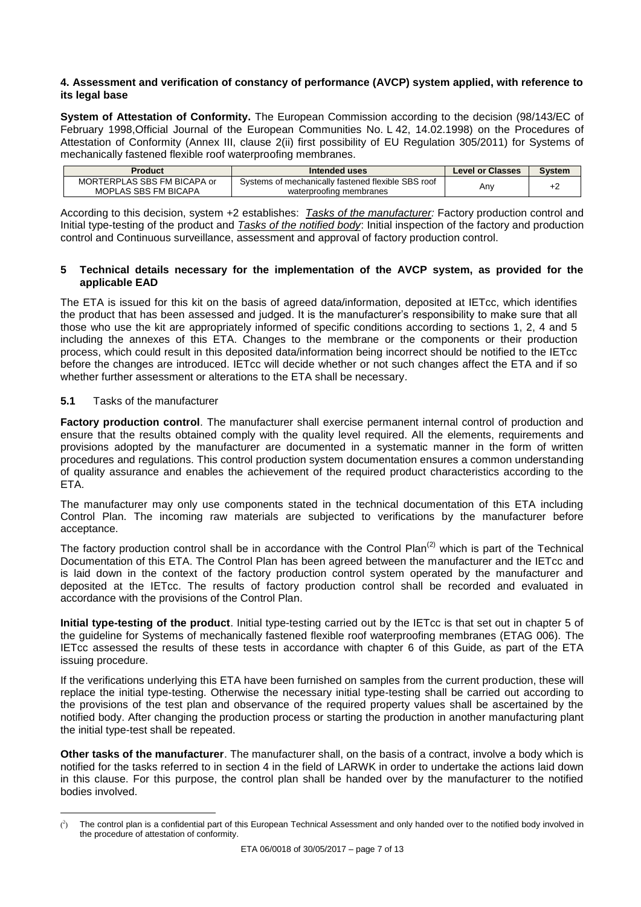#### **4. Assessment and verification of constancy of performance (AVCP) system applied, with reference to its legal base**

**System of Attestation of Conformity.** The European Commission according to the decision (98/143/EC of February 1998,Official Journal of the European Communities No. L 42, 14.02.1998) on the Procedures of Attestation of Conformity (Annex III, clause 2(ii) first possibility of EU Regulation 305/2011) for Systems of mechanically fastened flexible roof waterproofing membranes.

| Product                     | Intended uses                                      | <b>Level or Classes</b> | Svstem |
|-----------------------------|----------------------------------------------------|-------------------------|--------|
| MORTERPLAS SBS FM BICAPA or | Systems of mechanically fastened flexible SBS roof | Anv                     |        |
| MOPLAS SBS FM BICAPA        | waterproofing membranes                            |                         |        |

According to this decision, system +2 establishes: *Tasks of the manufacturer:* Factory production control and Initial type-testing of the product and *Tasks of the notified body*: Initial inspection of the factory and production control and Continuous surveillance, assessment and approval of factory production control.

#### **5 Technical details necessary for the implementation of the AVCP system, as provided for the applicable EAD**

The ETA is issued for this kit on the basis of agreed data/information, deposited at IETcc, which identifies the product that has been assessed and judged. It is the manufacturer's responsibility to make sure that all those who use the kit are appropriately informed of specific conditions according to sections 1, 2, 4 and 5 including the annexes of this ETA. Changes to the membrane or the components or their production process, which could result in this deposited data/information being incorrect should be notified to the IETcc before the changes are introduced. IETcc will decide whether or not such changes affect the ETA and if so whether further assessment or alterations to the ETA shall be necessary.

#### **5.1** Tasks of the manufacturer

 $\overline{a}$ 

**Factory production control**. The manufacturer shall exercise permanent internal control of production and ensure that the results obtained comply with the quality level required. All the elements, requirements and provisions adopted by the manufacturer are documented in a systematic manner in the form of written procedures and regulations. This control production system documentation ensures a common understanding of quality assurance and enables the achievement of the required product characteristics according to the ETA.

The manufacturer may only use components stated in the technical documentation of this ETA including Control Plan. The incoming raw materials are subjected to verifications by the manufacturer before acceptance.

The factory production control shall be in accordance with the Control Plan<sup>(2)</sup> which is part of the Technical Documentation of this ETA. The Control Plan has been agreed between the manufacturer and the IETcc and is laid down in the context of the factory production control system operated by the manufacturer and deposited at the IETcc. The results of factory production control shall be recorded and evaluated in accordance with the provisions of the Control Plan.

**Initial type-testing of the product**. Initial type-testing carried out by the IETcc is that set out in chapter 5 of the guideline for Systems of mechanically fastened flexible roof waterproofing membranes (ETAG 006). The IETcc assessed the results of these tests in accordance with chapter 6 of this Guide, as part of the ETA issuing procedure.

If the verifications underlying this ETA have been furnished on samples from the current production, these will replace the initial type-testing. Otherwise the necessary initial type-testing shall be carried out according to the provisions of the test plan and observance of the required property values shall be ascertained by the notified body. After changing the production process or starting the production in another manufacturing plant the initial type-test shall be repeated.

**Other tasks of the manufacturer**. The manufacturer shall, on the basis of a contract, involve a body which is notified for the tasks referred to in section 4 in the field of LARWK in order to undertake the actions laid down in this clause. For this purpose, the control plan shall be handed over by the manufacturer to the notified bodies involved.

 $\binom{3}{1}$  The control plan is a confidential part of this European Technical Assessment and only handed over to the notified body involved in the procedure of attestation of conformity.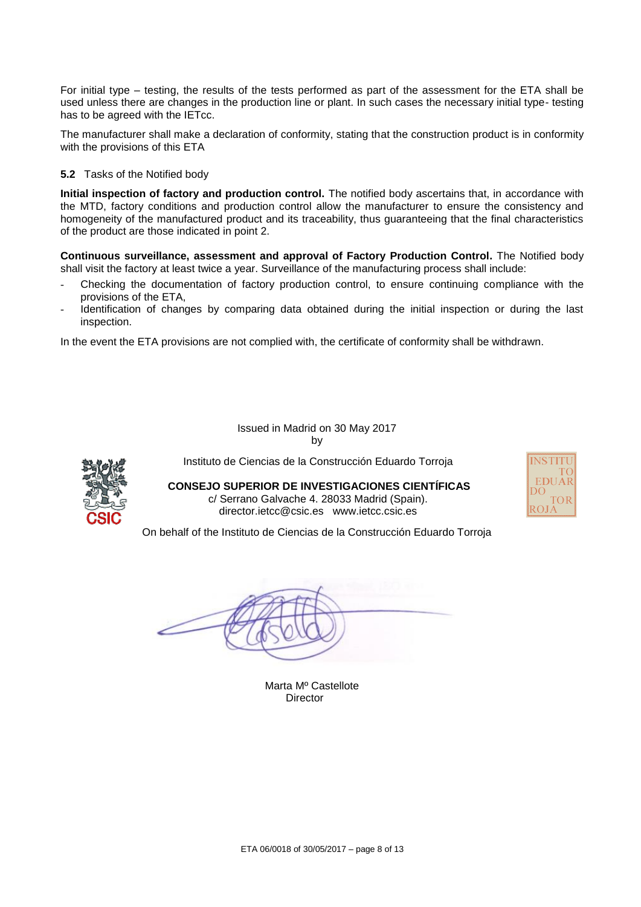For initial type – testing, the results of the tests performed as part of the assessment for the ETA shall be used unless there are changes in the production line or plant. In such cases the necessary initial type- testing has to be agreed with the IETcc.

The manufacturer shall make a declaration of conformity, stating that the construction product is in conformity with the provisions of this ETA

**5.2** Tasks of the Notified body

**Initial inspection of factory and production control.** The notified body ascertains that, in accordance with the MTD, factory conditions and production control allow the manufacturer to ensure the consistency and homogeneity of the manufactured product and its traceability, thus guaranteeing that the final characteristics of the product are those indicated in point 2.

**Continuous surveillance, assessment and approval of Factory Production Control.** The Notified body shall visit the factory at least twice a year. Surveillance of the manufacturing process shall include:

- Checking the documentation of factory production control, to ensure continuing compliance with the provisions of the ETA,
- Identification of changes by comparing data obtained during the initial inspection or during the last inspection.

In the event the ETA provisions are not complied with, the certificate of conformity shall be withdrawn.

Issued in Madrid on 30 May 2017 by



Instituto de Ciencias de la Construcción Eduardo Torroja

**CONSEJO SUPERIOR DE INVESTIGACIONES CIENTÍFICAS** c/ Serrano Galvache 4. 28033 Madrid (Spain). director.ietcc@csic.es www.ietcc.csic.es



On behalf of the Instituto de Ciencias de la Construcción Eduardo Torroja

Marta Mº Castellote **Director**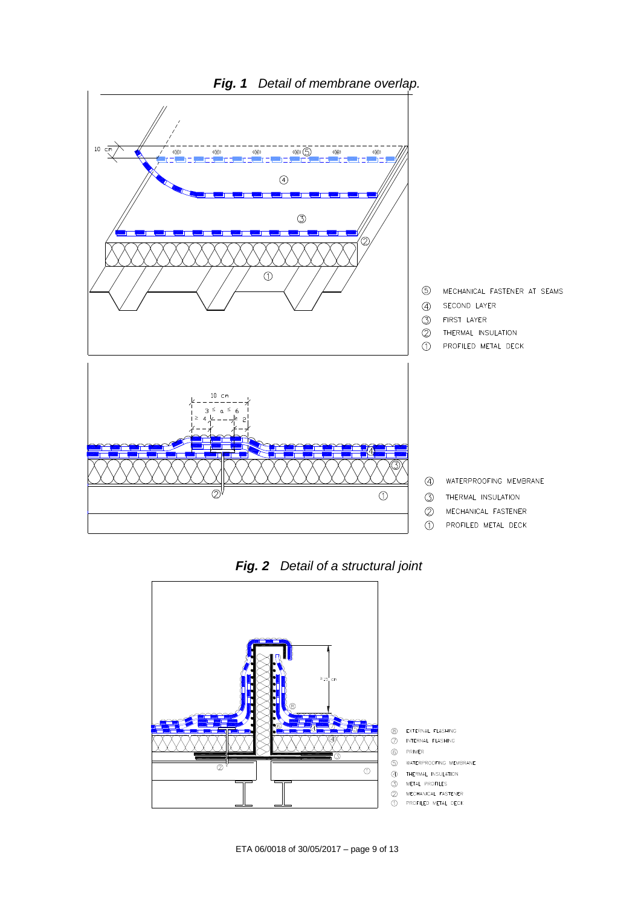





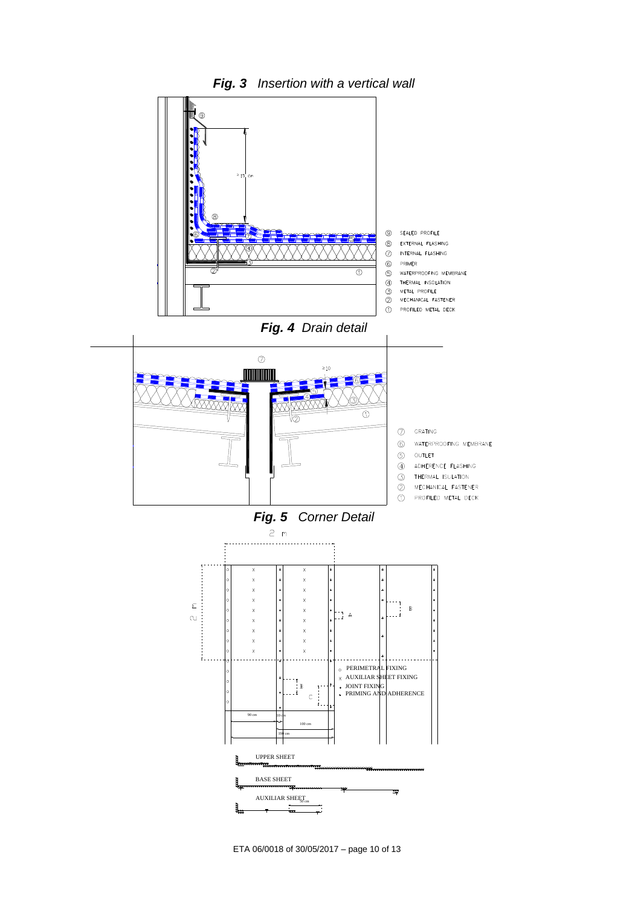



ETA 06/0018 of 30/05/2017 – page 10 of 13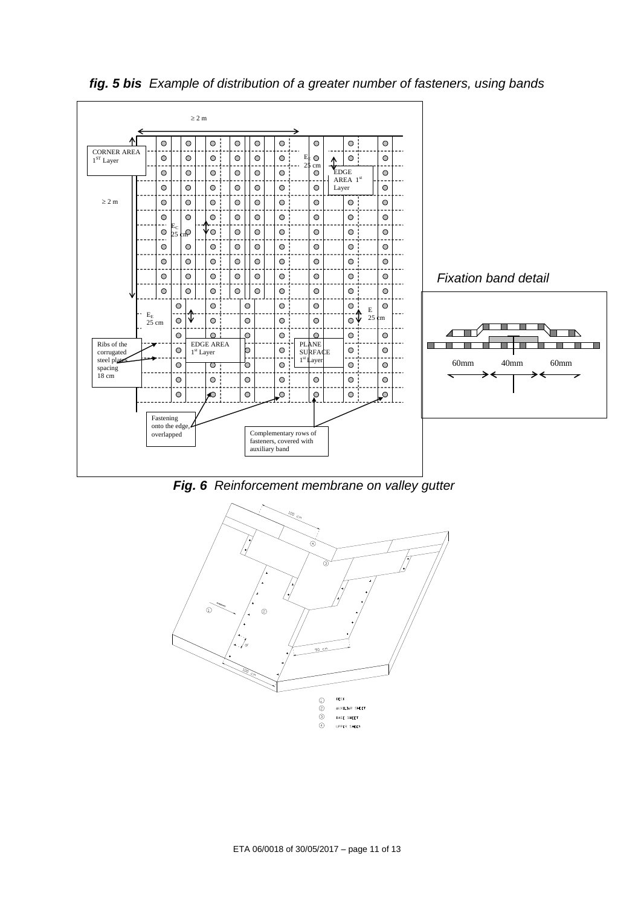

*fig. 5 bis Example of distribution of a greater number of fasteners, using bands*

*Fig. 6 Reinforcement membrane on valley gutter*

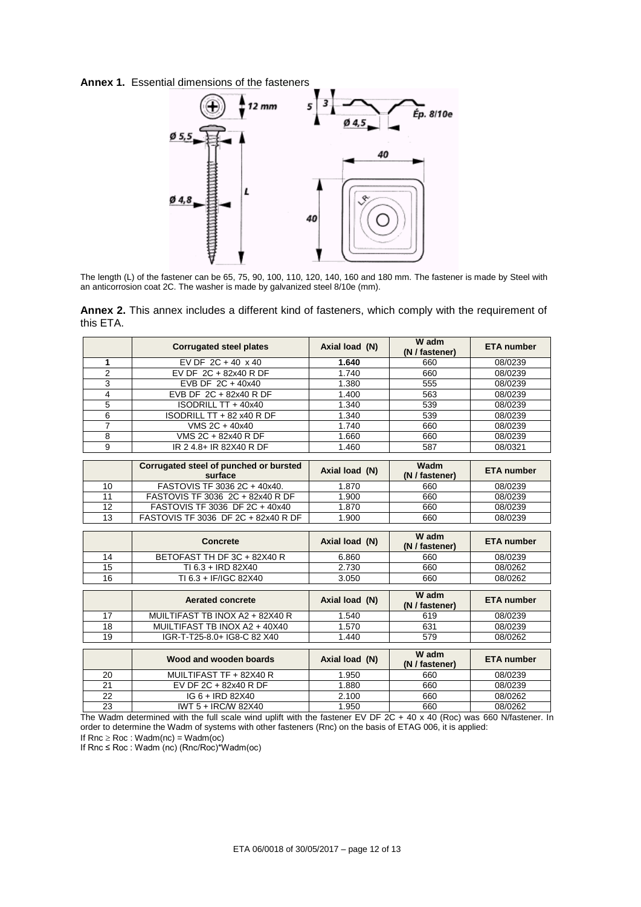**Annex 1.** Essential dimensions of the fasteners



The length (L) of the fastener can be 65, 75, 90, 100, 110, 120, 140, 160 and 180 mm. The fastener is made by Steel with an anticorrosion coat 2C. The washer is made by galvanized steel 8/10e (mm).

**Annex 2.** This annex includes a different kind of fasteners, which comply with the requirement of this ETA.

|                | <b>Corrugated steel plates</b>                    | Axial load (N) | W adm<br>(N / fastener) | <b>ETA</b> number |
|----------------|---------------------------------------------------|----------------|-------------------------|-------------------|
| 1              | EV DF $2C + 40 \times 40$                         | 1.640          | 660                     | 08/0239           |
| $\overline{2}$ | EV DF 2C + 82x40 R DF                             | 1.740          | 660                     | 08/0239           |
| 3              | EVB DF 2C + 40x40                                 | 1.380          | 555                     | 08/0239           |
| 4              | EVB DF 2C + 82x40 R DF                            | 1.400          | 563                     | 08/0239           |
| 5              | ISODRILL TT + 40x40                               | 1.340          | 539                     | 08/0239           |
| 6              | ISODRILL TT + 82 x40 R DF                         | 1.340          | 539                     | 08/0239           |
| $\overline{7}$ | VMS 2C + 40x40                                    | 1.740          | 660                     | 08/0239           |
| 8              | VMS 2C + 82x40 R DF                               | 1.660          | 660                     | 08/0239           |
| 9              | IR 2 4.8+ IR 82X40 R DF                           | 1.460          | 587                     | 08/0321           |
|                |                                                   |                |                         |                   |
|                | Corrugated steel of punched or bursted<br>surface | Axial load (N) | Wadm<br>(N / fastener)  | <b>ETA</b> number |
| 10             | FASTOVIS TF 3036 2C + 40x40.                      | 1.870          | 660                     | 08/0239           |
| 11             | FASTOVIS TF 3036 2C + 82x40 R DF                  | 1.900          | 660                     | 08/0239           |
| 12             | FASTOVIS TF 3036 DF 2C + 40x40                    | 1.870          | 660                     | 08/0239           |
| 13             | FASTOVIS TF 3036 DF 2C + 82x40 R DF               | 1.900          | 660                     | 08/0239           |
|                |                                                   |                |                         |                   |
|                | <b>Concrete</b>                                   | Axial load (N) | W adm<br>(N / fastener) | <b>ETA</b> number |
| 14             | BETOFAST TH DF 3C + 82X40 R                       | 6.860          | 660                     | 08/0239           |
| 15             | TI 6.3 + IRD 82X40                                | 2.730          | 660                     | 08/0262           |
| 16             | TI 6.3 + IF/IGC 82X40                             | 3.050          | 660                     | 08/0262           |
|                |                                                   |                |                         |                   |
|                | <b>Aerated concrete</b>                           | Axial load (N) | W adm<br>(N / fastener) | <b>ETA</b> number |
| 17             | MUILTIFAST TB INOX A2 + 82X40 R                   | 1.540          | 619                     | 08/0239           |
| 18             | MUILTIFAST TB INOX A2 + 40X40                     | 1.570          | 631                     | 08/0239           |
| 19             | IGR-T-T25-8.0+ IG8-C 82 X40                       | 1.440          | 579                     | 08/0262           |
|                |                                                   |                |                         |                   |
|                | Wood and wooden boards                            | Axial load (N) | W adm<br>(N / fastener) | <b>ETA</b> number |

|    |                         |       | (N / fastener) |         |
|----|-------------------------|-------|----------------|---------|
| 20 | MUILTIFAST TF + 82X40 R | 1.950 | 660            | 08/0239 |
| 21 | EV DF 2C + 82x40 R DF   | .880  | 660            | 08/0239 |
| 22 | $IG 6 + IRD 82X40$      | 2.100 | 660            | 08/0262 |
| 23 | IWT 5 + IRC/W 82X40     | 1.950 | 660            | 08/0262 |

The Wadm determined with the full scale wind uplift with the fastener EV DF 2C + 40 x 40 (Roc) was 660 N/fastener. In order to determine the Wadm of systems with other fasteners (Rnc) on the basis of ETAG 006, it is applied:

If  $Rnc \geq Roc$  : Wadm(nc) = Wadm(oc)

If Rnc  $\leq$  Roc : Wadm (nc) (Rnc/Roc)\*Wadm(oc)